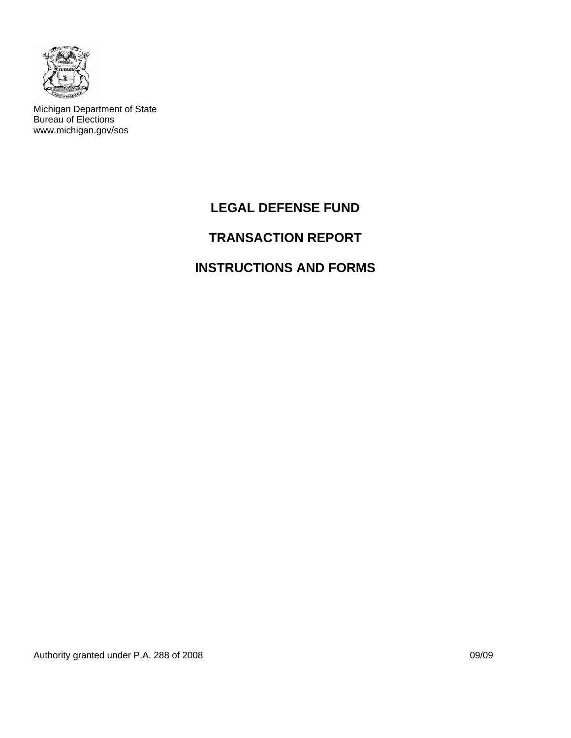

Michigan Department of State Bureau of Elections www.michigan.gov/sos

# **LEGAL DEFENSE FUND**

# **TRANSACTION REPORT**

## **INSTRUCTIONS AND FORMS**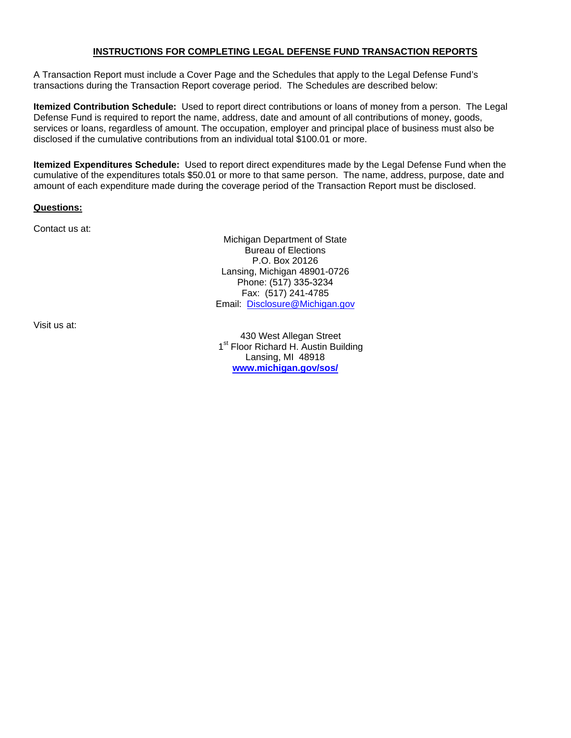## **INSTRUCTIONS FOR COMPLETING LEGAL DEFENSE FUND TRANSACTION REPORTS**

A Transaction Report must include a Cover Page and the Schedules that apply to the Legal Defense Fund's transactions during the Transaction Report coverage period. The Schedules are described below:

**Itemized Contribution Schedule:** Used to report direct contributions or loans of money from a person. The Legal Defense Fund is required to report the name, address, date and amount of all contributions of money, goods, services or loans, regardless of amount. The occupation, employer and principal place of business must also be disclosed if the cumulative contributions from an individual total \$100.01 or more.

**Itemized Expenditures Schedule:** Used to report direct expenditures made by the Legal Defense Fund when the cumulative of the expenditures totals \$50.01 or more to that same person. The name, address, purpose, date and amount of each expenditure made during the coverage period of the Transaction Report must be disclosed.

#### **Questions:**

Contact us at:

Michigan Department of State Bureau of Elections P.O. Box 20126 Lansing, Michigan 48901-0726 Phone: (517) 335-3234 Fax: (517) 241-4785 Email: [Disclosure@Michigan.gov](mailto:Disclosure@Michigan.gov)

Visit us at:

430 West Allegan Street 1<sup>st</sup> Floor Richard H. Austin Building Lansing, MI 48918 **[www.michigan.gov/sos/](http://www.michigan.gov/sos/)**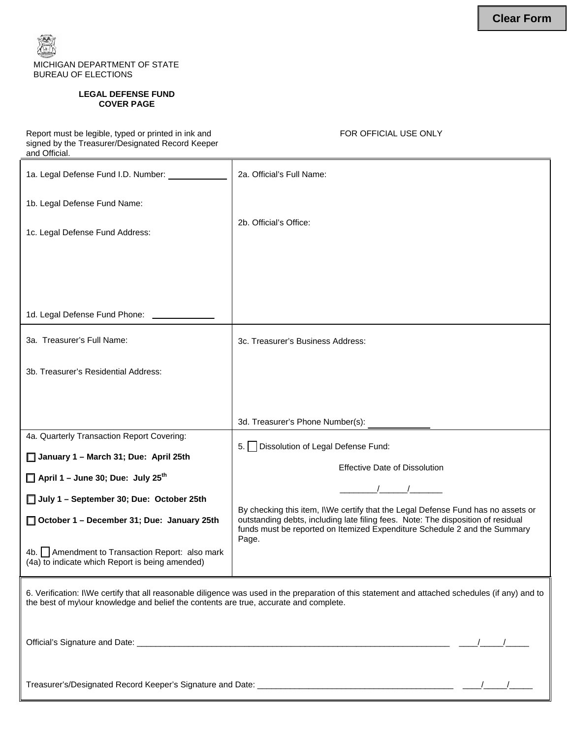

#### **LEGAL DEFENSE FUND COVER PAGE**

Report must be legible, typed or printed in ink and signed by the Treasurer/Designated Record Keeper and Official.

FOR OFFICIAL USE ONLY

| 1a. Legal Defense Fund I.D. Number: ____________                                                                                                                                                                                          | 2a. Official's Full Name:                                                                                                                                                                                                                                  |  |  |  |
|-------------------------------------------------------------------------------------------------------------------------------------------------------------------------------------------------------------------------------------------|------------------------------------------------------------------------------------------------------------------------------------------------------------------------------------------------------------------------------------------------------------|--|--|--|
| 1b. Legal Defense Fund Name:                                                                                                                                                                                                              |                                                                                                                                                                                                                                                            |  |  |  |
| 1c. Legal Defense Fund Address:                                                                                                                                                                                                           | 2b. Official's Office:                                                                                                                                                                                                                                     |  |  |  |
|                                                                                                                                                                                                                                           |                                                                                                                                                                                                                                                            |  |  |  |
|                                                                                                                                                                                                                                           |                                                                                                                                                                                                                                                            |  |  |  |
| 1d. Legal Defense Fund Phone: __________                                                                                                                                                                                                  |                                                                                                                                                                                                                                                            |  |  |  |
| 3a. Treasurer's Full Name:                                                                                                                                                                                                                | 3c. Treasurer's Business Address:                                                                                                                                                                                                                          |  |  |  |
| 3b. Treasurer's Residential Address:                                                                                                                                                                                                      |                                                                                                                                                                                                                                                            |  |  |  |
|                                                                                                                                                                                                                                           |                                                                                                                                                                                                                                                            |  |  |  |
|                                                                                                                                                                                                                                           |                                                                                                                                                                                                                                                            |  |  |  |
| 4a. Quarterly Transaction Report Covering:                                                                                                                                                                                                | Dissolution of Legal Defense Fund:<br>5.1                                                                                                                                                                                                                  |  |  |  |
| January 1 - March 31; Due: April 25th                                                                                                                                                                                                     | <b>Effective Date of Dissolution</b>                                                                                                                                                                                                                       |  |  |  |
| $\Box$ April 1 – June 30; Due: July 25 <sup>th</sup>                                                                                                                                                                                      |                                                                                                                                                                                                                                                            |  |  |  |
| July 1 - September 30; Due: October 25th                                                                                                                                                                                                  |                                                                                                                                                                                                                                                            |  |  |  |
| October 1 - December 31; Due: January 25th                                                                                                                                                                                                | By checking this item, I\We certify that the Legal Defense Fund has no assets or<br>outstanding debts, including late filing fees. Note: The disposition of residual<br>funds must be reported on Itemized Expenditure Schedule 2 and the Summary<br>Page. |  |  |  |
| 4b. Amendment to Transaction Report: also mark<br>(4a) to indicate which Report is being amended)                                                                                                                                         |                                                                                                                                                                                                                                                            |  |  |  |
| 6. Verification: I\We certify that all reasonable diligence was used in the preparation of this statement and attached schedules (if any) and to<br>the best of my\our knowledge and belief the contents are true, accurate and complete. |                                                                                                                                                                                                                                                            |  |  |  |
|                                                                                                                                                                                                                                           |                                                                                                                                                                                                                                                            |  |  |  |
|                                                                                                                                                                                                                                           |                                                                                                                                                                                                                                                            |  |  |  |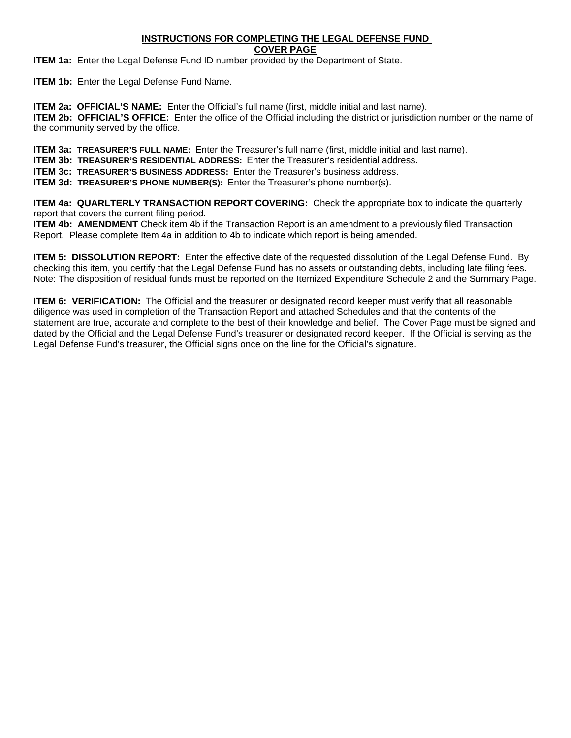## **INSTRUCTIONS FOR COMPLETING THE LEGAL DEFENSE FUND**

**COVER PAGE**

**ITEM 1a:** Enter the Legal Defense Fund ID number provided by the Department of State.

**ITEM 1b:** Enter the Legal Defense Fund Name.

**ITEM 2a: OFFICIAL'S NAME:** Enter the Official's full name (first, middle initial and last name). **ITEM 2b: OFFICIAL'S OFFICE:** Enter the office of the Official including the district or jurisdiction number or the name of the community served by the office.

**ITEM 3a: TREASURER'S FULL NAME:** Enter the Treasurer's full name (first, middle initial and last name).

**ITEM 3b: TREASURER'S RESIDENTIAL ADDRESS:** Enter the Treasurer's residential address.

**ITEM 3c: TREASURER'S BUSINESS ADDRESS:** Enter the Treasurer's business address.

**ITEM 3d: TREASURER'S PHONE NUMBER(S):** Enter the Treasurer's phone number(s).

**ITEM 4a: QUARLTERLY TRANSACTION REPORT COVERING:** Check the appropriate box to indicate the quarterly report that covers the current filing period.

**ITEM 4b: AMENDMENT** Check item 4b if the Transaction Report is an amendment to a previously filed Transaction Report. Please complete Item 4a in addition to 4b to indicate which report is being amended.

**ITEM 5: DISSOLUTION REPORT:** Enter the effective date of the requested dissolution of the Legal Defense Fund. By checking this item, you certify that the Legal Defense Fund has no assets or outstanding debts, including late filing fees. Note: The disposition of residual funds must be reported on the Itemized Expenditure Schedule 2 and the Summary Page.

**ITEM 6: VERIFICATION:** The Official and the treasurer or designated record keeper must verify that all reasonable diligence was used in completion of the Transaction Report and attached Schedules and that the contents of the statement are true, accurate and complete to the best of their knowledge and belief. The Cover Page must be signed and dated by the Official and the Legal Defense Fund's treasurer or designated record keeper. If the Official is serving as the Legal Defense Fund's treasurer, the Official signs once on the line for the Official's signature.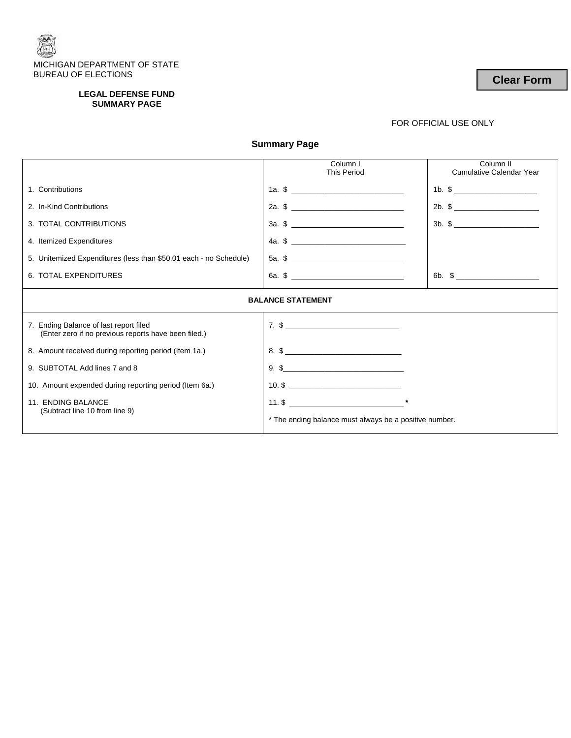

#### **LEGAL DEFENSE FUND SUMMARY PAGE**

## FOR OFFICIAL USE ONLY

**Summary Page** 

|                                                                                                | Column I<br><b>This Period</b>                                                                                                                                                                                                                                                                                         | Column <sub>II</sub><br>Cumulative Calendar Year                                                                                                                                                                                                                                                                       |  |  |  |
|------------------------------------------------------------------------------------------------|------------------------------------------------------------------------------------------------------------------------------------------------------------------------------------------------------------------------------------------------------------------------------------------------------------------------|------------------------------------------------------------------------------------------------------------------------------------------------------------------------------------------------------------------------------------------------------------------------------------------------------------------------|--|--|--|
| 1. Contributions                                                                               | 1a. $\frac{1}{2}$ $\frac{1}{2}$ $\frac{1}{2}$ $\frac{1}{2}$ $\frac{1}{2}$ $\frac{1}{2}$ $\frac{1}{2}$ $\frac{1}{2}$ $\frac{1}{2}$ $\frac{1}{2}$ $\frac{1}{2}$ $\frac{1}{2}$ $\frac{1}{2}$ $\frac{1}{2}$ $\frac{1}{2}$ $\frac{1}{2}$ $\frac{1}{2}$ $\frac{1}{2}$ $\frac{1}{2}$ $\frac{1}{2}$ $\frac{1}{2}$ $\frac{1}{2$ | 1b. $\frac{1}{2}$ = 0.1 $\frac{1}{2}$ = 0.1 $\frac{1}{2}$ = 0.1 $\frac{1}{2}$ = 0.1 $\frac{1}{2}$ = 0.1 $\frac{1}{2}$ = 0.1 $\frac{1}{2}$ = 0.1 $\frac{1}{2}$ = 0.1 $\frac{1}{2}$ = 0.1 $\frac{1}{2}$ = 0.1 $\frac{1}{2}$ = 0.1 $\frac{1}{2}$ = 0.1 $\frac{1}{2}$ = 0.1 $\frac{1}{2}$                                  |  |  |  |
| 2. In-Kind Contributions                                                                       | 2a. $\frac{1}{2}$                                                                                                                                                                                                                                                                                                      | 2b. $\frac{1}{2}$ $\frac{1}{2}$ $\frac{1}{2}$ $\frac{1}{2}$ $\frac{1}{2}$ $\frac{1}{2}$ $\frac{1}{2}$ $\frac{1}{2}$ $\frac{1}{2}$ $\frac{1}{2}$ $\frac{1}{2}$ $\frac{1}{2}$ $\frac{1}{2}$ $\frac{1}{2}$ $\frac{1}{2}$ $\frac{1}{2}$ $\frac{1}{2}$ $\frac{1}{2}$ $\frac{1}{2}$ $\frac{1}{2}$ $\frac{1}{2}$ $\frac{1}{2$ |  |  |  |
| 3. TOTAL CONTRIBUTIONS                                                                         |                                                                                                                                                                                                                                                                                                                        |                                                                                                                                                                                                                                                                                                                        |  |  |  |
| 4. Itemized Expenditures                                                                       | 4a. $\frac{1}{2}$ $\frac{1}{2}$ $\frac{1}{2}$ $\frac{1}{2}$ $\frac{1}{2}$ $\frac{1}{2}$ $\frac{1}{2}$ $\frac{1}{2}$ $\frac{1}{2}$ $\frac{1}{2}$ $\frac{1}{2}$ $\frac{1}{2}$ $\frac{1}{2}$ $\frac{1}{2}$ $\frac{1}{2}$ $\frac{1}{2}$ $\frac{1}{2}$ $\frac{1}{2}$ $\frac{1}{2}$ $\frac{1}{2}$ $\frac{1}{2}$ $\frac{1}{2$ |                                                                                                                                                                                                                                                                                                                        |  |  |  |
| 5. Unitemized Expenditures (less than \$50.01 each - no Schedule)                              |                                                                                                                                                                                                                                                                                                                        |                                                                                                                                                                                                                                                                                                                        |  |  |  |
| 6. TOTAL EXPENDITURES                                                                          |                                                                                                                                                                                                                                                                                                                        | 6b. $\frac{1}{2}$ $\frac{1}{2}$ $\frac{1}{2}$ $\frac{1}{2}$ $\frac{1}{2}$ $\frac{1}{2}$ $\frac{1}{2}$ $\frac{1}{2}$ $\frac{1}{2}$ $\frac{1}{2}$ $\frac{1}{2}$ $\frac{1}{2}$ $\frac{1}{2}$ $\frac{1}{2}$ $\frac{1}{2}$ $\frac{1}{2}$ $\frac{1}{2}$ $\frac{1}{2}$ $\frac{1}{2}$ $\frac{1}{2}$ $\frac{1}{2}$ $\frac{1}{2$ |  |  |  |
| <b>BALANCE STATEMENT</b>                                                                       |                                                                                                                                                                                                                                                                                                                        |                                                                                                                                                                                                                                                                                                                        |  |  |  |
| 7. Ending Balance of last report filed<br>(Enter zero if no previous reports have been filed.) | $7. \,$ \$                                                                                                                                                                                                                                                                                                             |                                                                                                                                                                                                                                                                                                                        |  |  |  |
| 8. Amount received during reporting period (Item 1a.)                                          | $8.$ \$                                                                                                                                                                                                                                                                                                                |                                                                                                                                                                                                                                                                                                                        |  |  |  |
| 9. SUBTOTAL Add lines 7 and 8                                                                  | $9.$ \$                                                                                                                                                                                                                                                                                                                |                                                                                                                                                                                                                                                                                                                        |  |  |  |
| 10. Amount expended during reporting period (Item 6a.)                                         |                                                                                                                                                                                                                                                                                                                        |                                                                                                                                                                                                                                                                                                                        |  |  |  |
| 11. ENDING BALANCE<br>(Subtract line 10 from line 9)                                           | $11.$ \$                                                                                                                                                                                                                                                                                                               |                                                                                                                                                                                                                                                                                                                        |  |  |  |
|                                                                                                | * The ending balance must always be a positive number.                                                                                                                                                                                                                                                                 |                                                                                                                                                                                                                                                                                                                        |  |  |  |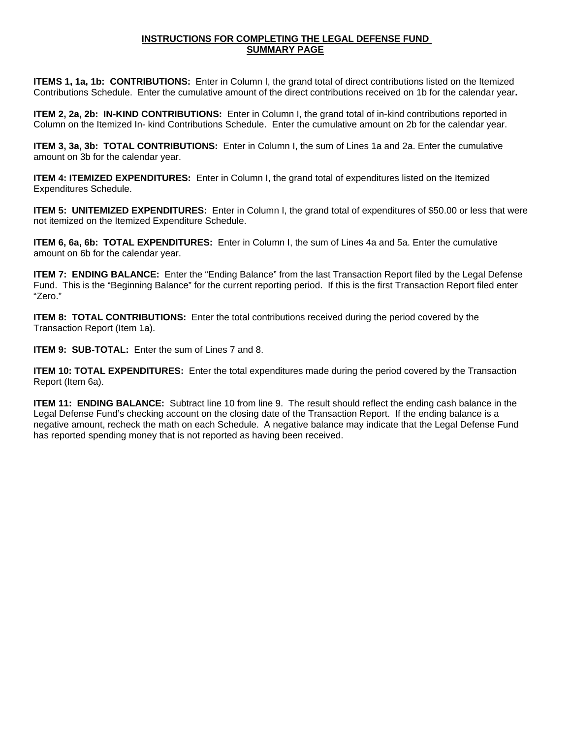### **INSTRUCTIONS FOR COMPLETING THE LEGAL DEFENSE FUND SUMMARY PAGE**

**ITEMS 1, 1a, 1b: CONTRIBUTIONS:** Enter in Column I, the grand total of direct contributions listed on the Itemized Contributions Schedule. Enter the cumulative amount of the direct contributions received on 1b for the calendar year**.** 

**ITEM 2, 2a, 2b: IN-KIND CONTRIBUTIONS:** Enter in Column I, the grand total of in-kind contributions reported in Column on the Itemized In- kind Contributions Schedule. Enter the cumulative amount on 2b for the calendar year.

**ITEM 3, 3a, 3b: TOTAL CONTRIBUTIONS:** Enter in Column I, the sum of Lines 1a and 2a. Enter the cumulative amount on 3b for the calendar year.

**ITEM 4: ITEMIZED EXPENDITURES:** Enter in Column I, the grand total of expenditures listed on the Itemized Expenditures Schedule.

**ITEM 5: UNITEMIZED EXPENDITURES:** Enter in Column I, the grand total of expenditures of \$50.00 or less that were not itemized on the Itemized Expenditure Schedule.

**ITEM 6, 6a, 6b: TOTAL EXPENDITURES:** Enter in Column I, the sum of Lines 4a and 5a. Enter the cumulative amount on 6b for the calendar year.

**ITEM 7: ENDING BALANCE:** Enter the "Ending Balance" from the last Transaction Report filed by the Legal Defense Fund. This is the "Beginning Balance" for the current reporting period. If this is the first Transaction Report filed enter "Zero."

**ITEM 8: TOTAL CONTRIBUTIONS:** Enter the total contributions received during the period covered by the Transaction Report (Item 1a).

**ITEM 9: SUB-TOTAL:** Enter the sum of Lines 7 and 8.

**ITEM 10: TOTAL EXPENDITURES:** Enter the total expenditures made during the period covered by the Transaction Report (Item 6a).

**ITEM 11: ENDING BALANCE:** Subtract line 10 from line 9. The result should reflect the ending cash balance in the Legal Defense Fund's checking account on the closing date of the Transaction Report. If the ending balance is a negative amount, recheck the math on each Schedule. A negative balance may indicate that the Legal Defense Fund has reported spending money that is not reported as having been received.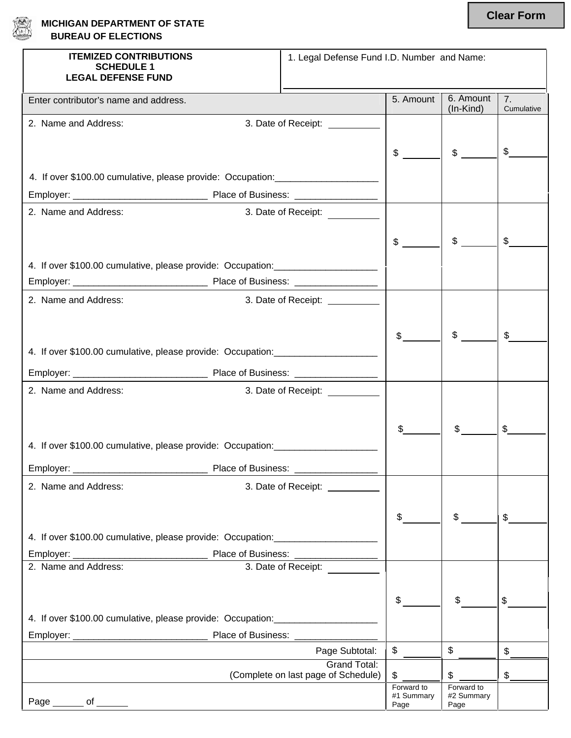

| 急 | <b>MICHIGAN DEPARTMENT OF STATE</b> |
|---|-------------------------------------|
|   | <b>BUREAU OF ELECTIONS</b>          |

| <b>ITEMIZED CONTRIBUTIONS</b><br><b>SCHEDULE 1</b>                                | 1. Legal Defense Fund I.D. Number and Name: |                    |                           |                  |
|-----------------------------------------------------------------------------------|---------------------------------------------|--------------------|---------------------------|------------------|
| <b>LEGAL DEFENSE FUND</b>                                                         |                                             |                    |                           |                  |
| Enter contributor's name and address.                                             |                                             | 5. Amount          | 6. Amount<br>(In-Kind)    | 7.<br>Cumulative |
| 2. Name and Address:                                                              | 3. Date of Receipt: __________              |                    |                           |                  |
|                                                                                   |                                             |                    |                           |                  |
|                                                                                   |                                             | $\frac{1}{2}$      | $$$ $\qquad$              | \$               |
| 4. If over \$100.00 cumulative, please provide: Occupation: _____________________ |                                             |                    |                           |                  |
|                                                                                   |                                             |                    |                           |                  |
| 2. Name and Address:                                                              | 3. Date of Receipt:                         |                    |                           |                  |
|                                                                                   |                                             |                    |                           |                  |
|                                                                                   |                                             | $\mathsf{\$}$      | $\frac{1}{2}$             |                  |
| 4. If over \$100.00 cumulative, please provide: Occupation: _____________________ |                                             |                    |                           |                  |
|                                                                                   |                                             |                    |                           |                  |
|                                                                                   |                                             |                    |                           |                  |
| 2. Name and Address:                                                              | 3. Date of Receipt: __________              |                    |                           |                  |
|                                                                                   |                                             |                    |                           |                  |
|                                                                                   |                                             | $\frac{1}{2}$      | \$                        |                  |
| 4. If over \$100.00 cumulative, please provide: Occupation: _____________________ |                                             |                    |                           |                  |
|                                                                                   |                                             |                    |                           |                  |
| 2. Name and Address:                                                              | 3. Date of Receipt: __________              |                    |                           |                  |
|                                                                                   |                                             |                    |                           |                  |
|                                                                                   |                                             |                    |                           |                  |
| 4. If over \$100.00 cumulative, please provide: Occupation: _____________________ |                                             |                    |                           |                  |
|                                                                                   |                                             |                    |                           |                  |
|                                                                                   |                                             |                    |                           |                  |
| 2. Name and Address:                                                              | 3. Date of Receipt: __________              |                    |                           |                  |
|                                                                                   |                                             |                    |                           |                  |
|                                                                                   |                                             | \$                 | $\mathsf{\$}$             | \$               |
| 4. If over \$100.00 cumulative, please provide: Occupation: _____________________ |                                             |                    |                           |                  |
|                                                                                   |                                             |                    |                           |                  |
| 2. Name and Address:                                                              | 3. Date of Receipt:                         |                    |                           |                  |
|                                                                                   |                                             |                    |                           |                  |
|                                                                                   |                                             | \$                 |                           | \$               |
| 4. If over \$100.00 cumulative, please provide: Occupation: _____________________ |                                             |                    |                           |                  |
|                                                                                   |                                             |                    |                           |                  |
|                                                                                   | Page Subtotal:                              | $\mathsf{\$}$      | $\boldsymbol{\mathsf{S}}$ |                  |
|                                                                                   | <b>Grand Total:</b>                         |                    |                           |                  |
|                                                                                   | (Complete on last page of Schedule)         | \$<br>Forward to   | \$<br>Forward to          |                  |
| Page _______ of ______                                                            |                                             | #1 Summary<br>Page | #2 Summary<br>Page        |                  |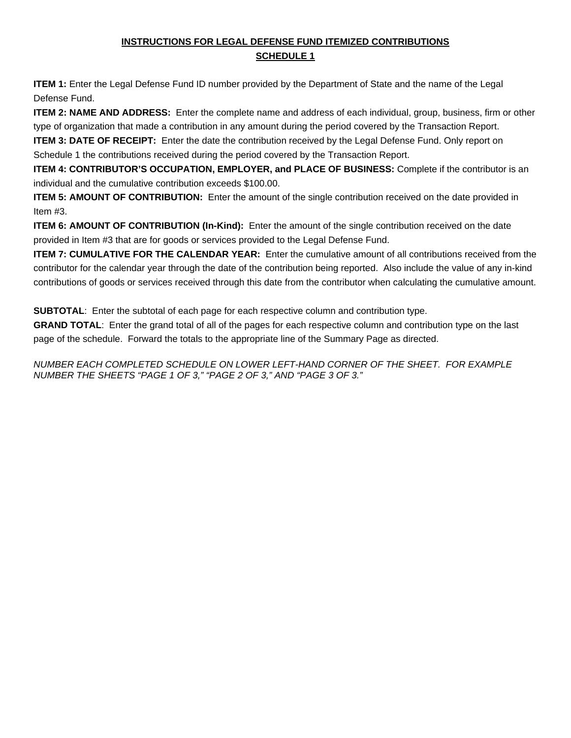## **INSTRUCTIONS FOR LEGAL DEFENSE FUND ITEMIZED CONTRIBUTIONS SCHEDULE 1**

**ITEM 1:** Enter the Legal Defense Fund ID number provided by the Department of State and the name of the Legal Defense Fund.

**ITEM 2: NAME AND ADDRESS:** Enter the complete name and address of each individual, group, business, firm or other type of organization that made a contribution in any amount during the period covered by the Transaction Report.

**ITEM 3: DATE OF RECEIPT:** Enter the date the contribution received by the Legal Defense Fund. Only report on Schedule 1 the contributions received during the period covered by the Transaction Report.

**ITEM 4: CONTRIBUTOR'S OCCUPATION, EMPLOYER, and PLACE OF BUSINESS:** Complete if the contributor is an individual and the cumulative contribution exceeds \$100.00.

**ITEM 5: AMOUNT OF CONTRIBUTION:** Enter the amount of the single contribution received on the date provided in Item #3.

**ITEM 6: AMOUNT OF CONTRIBUTION (In-Kind):** Enter the amount of the single contribution received on the date provided in Item #3 that are for goods or services provided to the Legal Defense Fund.

**ITEM 7: CUMULATIVE FOR THE CALENDAR YEAR:** Enter the cumulative amount of all contributions received from the contributor for the calendar year through the date of the contribution being reported. Also include the value of any in-kind contributions of goods or services received through this date from the contributor when calculating the cumulative amount.

**SUBTOTAL:** Enter the subtotal of each page for each respective column and contribution type.

**GRAND TOTAL**: Enter the grand total of all of the pages for each respective column and contribution type on the last page of the schedule. Forward the totals to the appropriate line of the Summary Page as directed.

*NUMBER EACH COMPLETED SCHEDULE ON LOWER LEFT-HAND CORNER OF THE SHEET. FOR EXAMPLE NUMBER THE SHEETS "PAGE 1 OF 3," "PAGE 2 OF 3," AND "PAGE 3 OF 3."*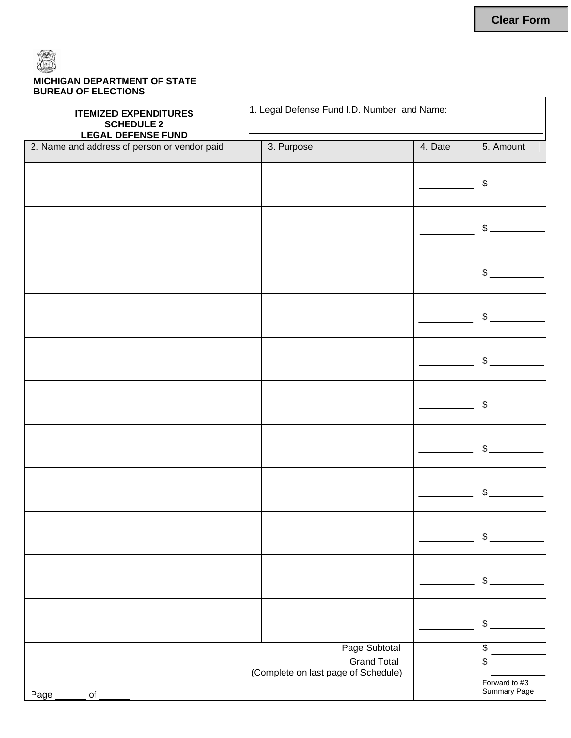

## **MICHIGAN DEPARTMENT OF STATE BUREAU OF ELECTIONS**

| <b>ITEMIZED EXPENDITURES</b><br><b>SCHEDULE 2</b><br><b>LEGAL DEFENSE FUND</b> | 1. Legal Defense Fund I.D. Number and Name: |                                                           |         |                               |
|--------------------------------------------------------------------------------|---------------------------------------------|-----------------------------------------------------------|---------|-------------------------------|
| 2. Name and address of person or vendor paid                                   |                                             | 3. Purpose                                                | 4. Date | 5. Amount                     |
|                                                                                |                                             |                                                           |         |                               |
|                                                                                |                                             |                                                           |         | \$                            |
|                                                                                |                                             |                                                           |         |                               |
|                                                                                |                                             |                                                           |         | $\frac{1}{2}$                 |
|                                                                                |                                             |                                                           |         |                               |
|                                                                                |                                             |                                                           |         | \$                            |
|                                                                                |                                             |                                                           |         |                               |
|                                                                                |                                             |                                                           |         | $\frac{1}{2}$                 |
|                                                                                |                                             |                                                           |         |                               |
|                                                                                |                                             |                                                           |         | \$                            |
|                                                                                |                                             |                                                           |         |                               |
|                                                                                |                                             |                                                           |         | $\frac{1}{2}$                 |
|                                                                                |                                             |                                                           |         |                               |
|                                                                                |                                             |                                                           |         | $\mathcal{L}$                 |
|                                                                                |                                             |                                                           |         | $\frac{1}{2}$                 |
|                                                                                |                                             |                                                           |         |                               |
|                                                                                |                                             |                                                           |         |                               |
|                                                                                |                                             |                                                           |         | \$                            |
|                                                                                |                                             |                                                           |         | \$                            |
|                                                                                |                                             |                                                           |         |                               |
|                                                                                |                                             |                                                           |         |                               |
|                                                                                |                                             |                                                           |         | \$                            |
| Page Subtotal                                                                  |                                             |                                                           |         | $\overline{\mathbf{e}}$       |
|                                                                                |                                             | <b>Grand Total</b><br>(Complete on last page of Schedule) |         | \$                            |
| $\mathsf{of}$<br>Page                                                          |                                             |                                                           |         | Forward to #3<br>Summary Page |